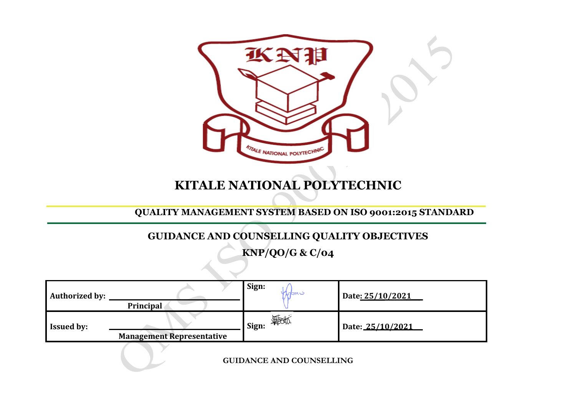

## **KITALE NATIONAL POLYTECHNIC**

## **QUALITY MANAGEMENT SYSTEM BASED ON ISO 9001:2015 STANDARD**

## **GUIDANCE AND COUNSELLING QUALITY OBJECTIVES**

**KNP/QO/G & C/04**

| <b>Authorized by:</b> | Principal                        | Sign:<br>Indn C | Date: 25/10/2021 |
|-----------------------|----------------------------------|-----------------|------------------|
| <b>Issued by:</b>     | <b>Management Representative</b> | 無故<br>Sign:     | Date: 25/10/2021 |

**GUIDANCE AND COUNSELLING**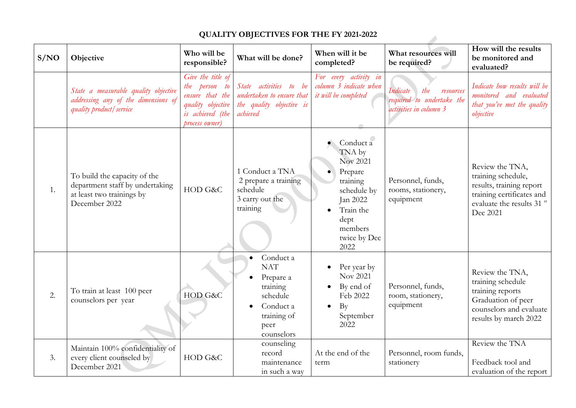|      | QUALI I Y OBJECTIVES FOR THE FY 2021-2022                                                                     |                                                                                                                  |                                                                                                                |                                                                                                                                           |                                                                                     |                                                                                                                                          |  |  |  |
|------|---------------------------------------------------------------------------------------------------------------|------------------------------------------------------------------------------------------------------------------|----------------------------------------------------------------------------------------------------------------|-------------------------------------------------------------------------------------------------------------------------------------------|-------------------------------------------------------------------------------------|------------------------------------------------------------------------------------------------------------------------------------------|--|--|--|
| S/NO | Objective                                                                                                     | Who will be<br>responsible?                                                                                      | What will be done?                                                                                             | When will it be<br>completed?                                                                                                             | What resources will<br>be required?                                                 | How will the results<br>be monitored and<br>evaluated?                                                                                   |  |  |  |
|      | State a measurable quality objective<br>addressing any of the dimensions of<br>quality product / service      | Give the title of<br>the person to<br>ensure that the<br>quality objective<br>is achieved (the<br>process owner) | State activities to be<br>undertaken to ensure that<br>the quality objective is<br>achieved                    | For every activity in<br>column 3 indicate when<br>it will be completed                                                                   | Indicate<br>the<br>resources<br>required to undertake the<br>activities in column 3 | Indicate how results will be<br>monitored and evaluated<br>that you've met the quality<br>objective                                      |  |  |  |
| 1.   | To build the capacity of the<br>department staff by undertaking<br>at least two trainings by<br>December 2022 | HOD G&C                                                                                                          | 1 Conduct a TNA<br>2 prepare a training<br>schedule<br>3 carry out the<br>training                             | Conduct a<br>TNA by<br>Nov 2021<br>Prepare<br>training<br>schedule by<br>Jan 2022<br>Train the<br>dept<br>members<br>twice by Dec<br>2022 | Personnel, funds,<br>rooms, stationery,<br>equipment                                | Review the TNA,<br>training schedule,<br>results, training report<br>training certificates and<br>evaluate the results 31 st<br>Dec 2021 |  |  |  |
| 2.   | To train at least 100 peer<br>counselors per year                                                             | HOD G&C                                                                                                          | Conduct a<br><b>NAT</b><br>Prepare a<br>training<br>schedule<br>Conduct a<br>training of<br>peer<br>counselors | Per year by<br>Nov 2021<br>By end of<br>Feb 2022<br>By<br>$\bullet$<br>September<br>2022                                                  | Personnel, funds,<br>room, stationery,<br>equipment                                 | Review the TNA,<br>training schedule<br>training reports<br>Graduation of peer<br>counselors and evaluate<br>results by march 2022       |  |  |  |
| 3.   | Maintain 100% confidentiality of<br>every client counseled by<br>December 2021                                | HOD G&C                                                                                                          | counseling<br>record<br>maintenance<br>in such a way                                                           | At the end of the<br>term                                                                                                                 | Personnel, room funds,<br>stationery                                                | Review the TNA<br>Feedback tool and<br>evaluation of the report                                                                          |  |  |  |